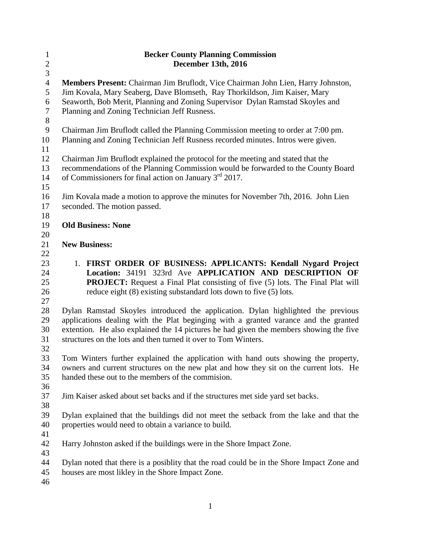| $\mathbf{1}$     | <b>Becker County Planning Commission</b>                                                  |
|------------------|-------------------------------------------------------------------------------------------|
| $\boldsymbol{2}$ | December 13th, 2016                                                                       |
| $\overline{3}$   |                                                                                           |
| $\overline{4}$   | Members Present: Chairman Jim Bruflodt, Vice Chairman John Lien, Harry Johnston,          |
| 5                | Jim Kovala, Mary Seaberg, Dave Blomseth, Ray Thorkildson, Jim Kaiser, Mary                |
| 6                | Seaworth, Bob Merit, Planning and Zoning Supervisor Dylan Ramstad Skoyles and             |
| $\overline{7}$   | Planning and Zoning Technician Jeff Rusness.                                              |
| $8\,$            |                                                                                           |
| $\mathbf{9}$     | Chairman Jim Bruflodt called the Planning Commission meeting to order at 7:00 pm.         |
| 10               | Planning and Zoning Technician Jeff Rusness recorded minutes. Intros were given.          |
| 11               |                                                                                           |
| 12               | Chairman Jim Bruflodt explained the protocol for the meeting and stated that the          |
| 13               | recommendations of the Planning Commission would be forwarded to the County Board         |
| 14               | of Commissioners for final action on January 3 <sup>rd</sup> 2017.                        |
| 15               |                                                                                           |
|                  |                                                                                           |
| 16               | Jim Kovala made a motion to approve the minutes for November 7th, 2016. John Lien         |
| 17               | seconded. The motion passed.                                                              |
| 18               |                                                                                           |
| 19               | <b>Old Business: None</b>                                                                 |
| 20               |                                                                                           |
| 21               | <b>New Business:</b>                                                                      |
| 22               |                                                                                           |
| 23               | 1. FIRST ORDER OF BUSINESS: APPLICANTS: Kendall Nygard Project                            |
| 24               | Location: 34191 323rd Ave APPLICATION AND DESCRIPTION OF                                  |
| 25               | <b>PROJECT:</b> Request a Final Plat consisting of five (5) lots. The Final Plat will     |
| 26               | reduce eight (8) existing substandard lots down to five (5) lots.                         |
| 27               |                                                                                           |
| 28               | Dylan Ramstad Skoyles introduced the application. Dylan highlighted the previous          |
| 29               | applications dealing with the Plat beginging with a granted varance and the granted       |
| 30               | extention. He also explained the 14 pictures he had given the members showing the five    |
| 31               | structures on the lots and then turned it over to Tom Winters.                            |
| 32               |                                                                                           |
| 33               | Tom Winters further explained the application with hand outs showing the property,        |
| 34               | owners and current structures on the new plat and how they sit on the current lots. He    |
| 35               | handed these out to the members of the commission.                                        |
| 36               |                                                                                           |
| 37               | Jim Kaiser asked about set backs and if the structures met side yard set backs.           |
| 38               |                                                                                           |
| 39               | Dylan explained that the buildings did not meet the setback from the lake and that the    |
| 40               | properties would need to obtain a variance to build.                                      |
| 41               |                                                                                           |
| 42               | Harry Johnston asked if the buildings were in the Shore Impact Zone.                      |
| 43               |                                                                                           |
| 44               | Dylan noted that there is a posiblity that the road could be in the Shore Impact Zone and |
| 45               | houses are most likley in the Shore Impact Zone.                                          |
| 46               |                                                                                           |
|                  |                                                                                           |